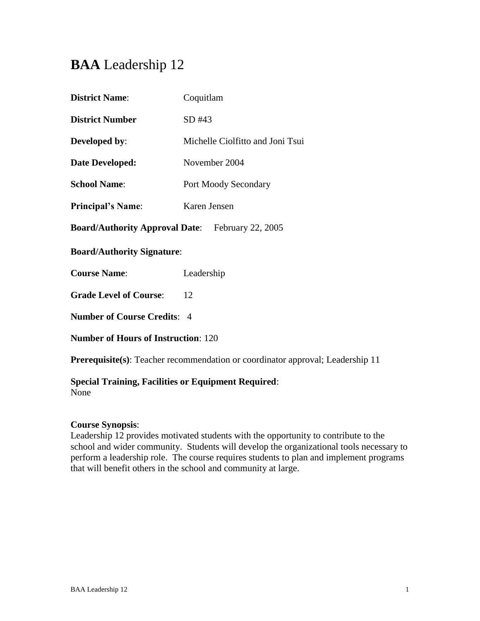# **BAA** Leadership 12

| <b>District Name:</b>                                   | Coquitlam                        |  |
|---------------------------------------------------------|----------------------------------|--|
| <b>District Number</b>                                  | SD #43                           |  |
| <b>Developed by:</b>                                    | Michelle Ciolfitto and Joni Tsui |  |
| Date Developed:                                         | November 2004                    |  |
| <b>School Name:</b>                                     | Port Moody Secondary             |  |
| <b>Principal's Name:</b>                                | Karen Jensen                     |  |
| <b>Board/Authority Approval Date:</b> February 22, 2005 |                                  |  |
| <b>Board/Authority Signature:</b>                       |                                  |  |
| <b>Course Name:</b>                                     | Leadership                       |  |
| <b>Grade Level of Course:</b>                           | 12                               |  |
| <b>Number of Course Credits: 4</b>                      |                                  |  |
| <b>Number of Hours of Instruction: 120</b>              |                                  |  |

**Prerequisite(s)**: Teacher recommendation or coordinator approval; Leadership 11

# **Special Training, Facilities or Equipment Required**:

None

# **Course Synopsis**:

Leadership 12 provides motivated students with the opportunity to contribute to the school and wider community. Students will develop the organizational tools necessary to perform a leadership role. The course requires students to plan and implement programs that will benefit others in the school and community at large.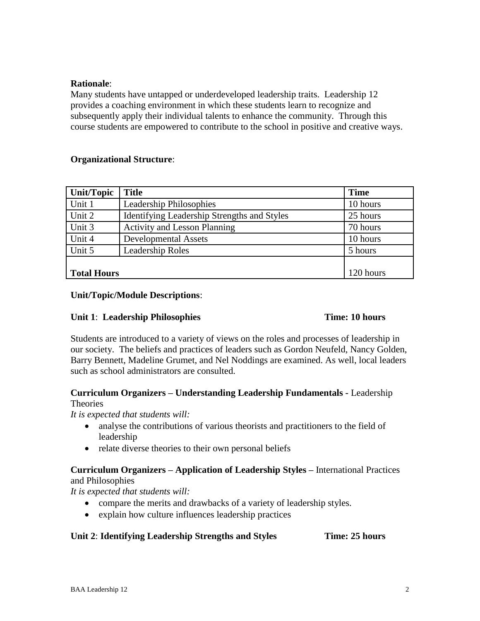## **Rationale**:

Many students have untapped or underdeveloped leadership traits. Leadership 12 provides a coaching environment in which these students learn to recognize and subsequently apply their individual talents to enhance the community. Through this course students are empowered to contribute to the school in positive and creative ways.

### **Organizational Structure**:

| Unit/Topic         | <b>Title</b>                                | <b>Time</b> |
|--------------------|---------------------------------------------|-------------|
| Unit 1             | <b>Leadership Philosophies</b>              | 10 hours    |
| Unit 2             | Identifying Leadership Strengths and Styles | 25 hours    |
| Unit 3             | <b>Activity and Lesson Planning</b>         | 70 hours    |
| Unit 4             | <b>Developmental Assets</b>                 | 10 hours    |
| Unit 5             | <b>Leadership Roles</b>                     | 5 hours     |
|                    |                                             |             |
| <b>Total Hours</b> |                                             | 120 hours   |

### **Unit/Topic/Module Descriptions**:

# **Unit 1**: **Leadership Philosophies Time: 10 hours**

Students are introduced to a variety of views on the roles and processes of leadership in our society. The beliefs and practices of leaders such as Gordon Neufeld, Nancy Golden, Barry Bennett, Madeline Grumet, and Nel Noddings are examined. As well, local leaders such as school administrators are consulted.

### **Curriculum Organizers – Understanding Leadership Fundamentals -** Leadership **Theories**

*It is expected that students will:*

- analyse the contributions of various theorists and practitioners to the field of leadership
- relate diverse theories to their own personal beliefs

# **Curriculum Organizers – Application of Leadership Styles –** International Practices

and Philosophies

*It is expected that students will:*

- compare the merits and drawbacks of a variety of leadership styles.
- explain how culture influences leadership practices

# **Unit 2**: **Identifying Leadership Strengths and Styles Time: 25 hours**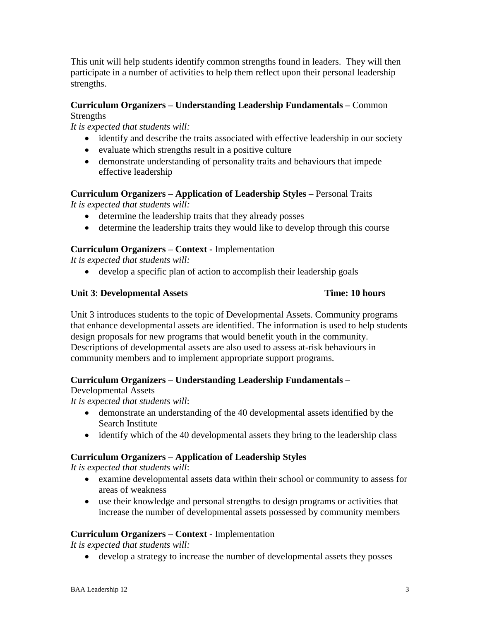participate in a number of activities to help them reflect upon their personal leadership strengths.

This unit will help students identify common strengths found in leaders. They will then

### **Curriculum Organizers – Understanding Leadership Fundamentals –** Common **Strengths**

*It is expected that students will:*

- identify and describe the traits associated with effective leadership in our society
- evaluate which strengths result in a positive culture
- demonstrate understanding of personality traits and behaviours that impede effective leadership

### **Curriculum Organizers – Application of Leadership Styles –** Personal Traits *It is expected that students will:*

- determine the leadership traits that they already posses
- determine the leadership traits they would like to develop through this course

### **Curriculum Organizers – Context -** Implementation

*It is expected that students will:*

develop a specific plan of action to accomplish their leadership goals

### **Unit 3**: **Developmental Assets Time: 10 hours**

Unit 3 introduces students to the topic of Developmental Assets. Community programs that enhance developmental assets are identified. The information is used to help students design proposals for new programs that would benefit youth in the community. Descriptions of developmental assets are also used to assess at-risk behaviours in community members and to implement appropriate support programs.

### **Curriculum Organizers – Understanding Leadership Fundamentals –**

Developmental Assets

*It is expected that students will*:

- demonstrate an understanding of the 40 developmental assets identified by the Search Institute
- identify which of the 40 developmental assets they bring to the leadership class

### **Curriculum Organizers – Application of Leadership Styles**

*It is expected that students will*:

- examine developmental assets data within their school or community to assess for areas of weakness
- use their knowledge and personal strengths to design programs or activities that increase the number of developmental assets possessed by community members

### **Curriculum Organizers – Context -** Implementation

*It is expected that students will:*

develop a strategy to increase the number of developmental assets they posses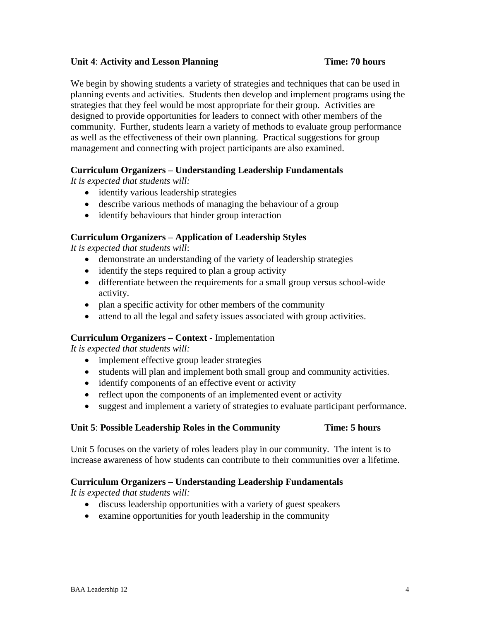### **Unit 4: Activity and Lesson Planning Time: 70 hours**

We begin by showing students a variety of strategies and techniques that can be used in planning events and activities. Students then develop and implement programs using the strategies that they feel would be most appropriate for their group. Activities are designed to provide opportunities for leaders to connect with other members of the community. Further, students learn a variety of methods to evaluate group performance as well as the effectiveness of their own planning. Practical suggestions for group management and connecting with project participants are also examined.

# **Curriculum Organizers – Understanding Leadership Fundamentals**

*It is expected that students will:*

- identify various leadership strategies
- describe various methods of managing the behaviour of a group
- identify behaviours that hinder group interaction

# **Curriculum Organizers – Application of Leadership Styles**

*It is expected that students will*:

- demonstrate an understanding of the variety of leadership strategies
- identify the steps required to plan a group activity
- differentiate between the requirements for a small group versus school-wide activity.
- plan a specific activity for other members of the community
- attend to all the legal and safety issues associated with group activities.

# **Curriculum Organizers – Context -** Implementation

*It is expected that students will:*

- implement effective group leader strategies
- students will plan and implement both small group and community activities.
- identify components of an effective event or activity
- reflect upon the components of an implemented event or activity
- suggest and implement a variety of strategies to evaluate participant performance.

### **Unit 5**: **Possible Leadership Roles in the Community Time: 5 hours**

Unit 5 focuses on the variety of roles leaders play in our community. The intent is to increase awareness of how students can contribute to their communities over a lifetime.

### **Curriculum Organizers – Understanding Leadership Fundamentals**

*It is expected that students will:*

- discuss leadership opportunities with a variety of guest speakers
- examine opportunities for youth leadership in the community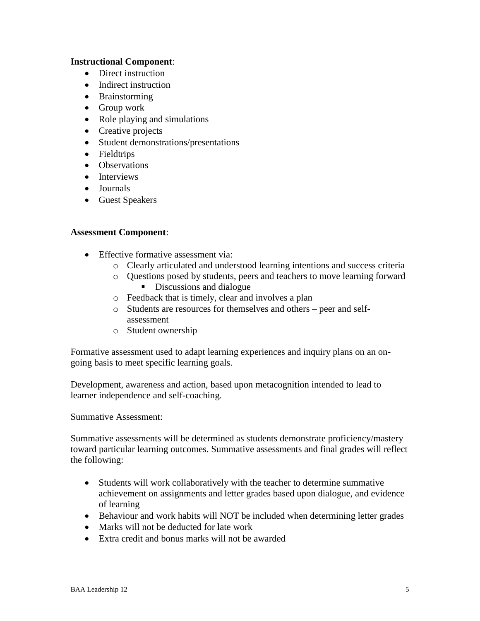### **Instructional Component**:

- Direct instruction
- Indirect instruction
- Brainstorming
- Group work
- Role playing and simulations
- Creative projects
- Student demonstrations/presentations
- Fieldtrips
- Observations
- Interviews
- Journals
- Guest Speakers

### **Assessment Component**:

- Effective formative assessment via:
	- o Clearly articulated and understood learning intentions and success criteria
	- o Questions posed by students, peers and teachers to move learning forward
		- Discussions and dialogue
	- o Feedback that is timely, clear and involves a plan
	- o Students are resources for themselves and others peer and selfassessment
	- o Student ownership

Formative assessment used to adapt learning experiences and inquiry plans on an ongoing basis to meet specific learning goals.

Development, awareness and action, based upon metacognition intended to lead to learner independence and self-coaching.

Summative Assessment:

Summative assessments will be determined as students demonstrate proficiency/mastery toward particular learning outcomes. Summative assessments and final grades will reflect the following:

- Students will work collaboratively with the teacher to determine summative achievement on assignments and letter grades based upon dialogue, and evidence of learning
- Behaviour and work habits will NOT be included when determining letter grades
- Marks will not be deducted for late work
- Extra credit and bonus marks will not be awarded